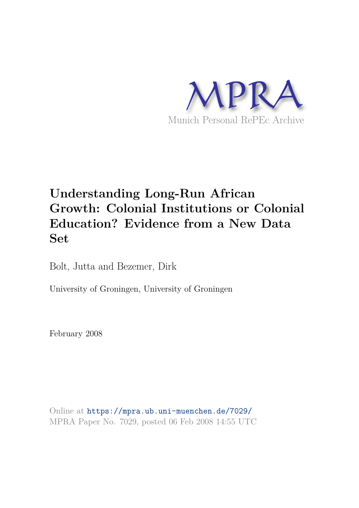

# **Understanding Long-Run African Growth: Colonial Institutions or Colonial Education? Evidence from a New Data Set**

Bolt, Jutta and Bezemer, Dirk

University of Groningen, University of Groningen

February 2008

Online at https://mpra.ub.uni-muenchen.de/7029/ MPRA Paper No. 7029, posted 06 Feb 2008 14:55 UTC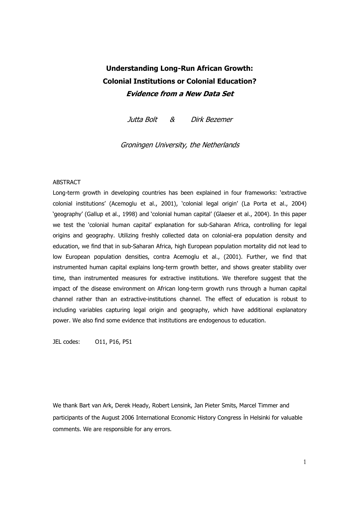## **Understanding Long-Run African Growth: Colonial Institutions or Colonial Education? Evidence from a New Data Set**

Jutta Bolt & Dirk Bezemer

Groningen University, the Netherlands

### **ABSTRACT**

Long-term growth in developing countries has been explained in four frameworks: 'extractive colonial institutions' (Acemoglu et al., 2001), 'colonial legal origin' (La Porta et al., 2004) 'geography' (Gallup et al., 1998) and 'colonial human capital' (Glaeser et al., 2004). In this paper we test the 'colonial human capital' explanation for sub-Saharan Africa, controlling for legal origins and geography. Utilizing freshly collected data on colonial-era population density and education, we find that in sub-Saharan Africa, high European population mortality did not lead to low European population densities, contra Acemoglu et al., (2001). Further, we find that instrumented human capital explains long-term growth better, and shows greater stability over time, than instrumented measures for extractive institutions. We therefore suggest that the impact of the disease environment on African long-term growth runs through a human capital channel rather than an extractive-institutions channel. The effect of education is robust to including variables capturing legal origin and geography, which have additional explanatory power. We also find some evidence that institutions are endogenous to education.

JEL codes: O11, P16, P51

We thank Bart van Ark, Derek Heady, Robert Lensink, Jan Pieter Smits, Marcel Timmer and participants of the August 2006 International Economic History Congress in Helsinki for valuable comments. We are responsible for any errors.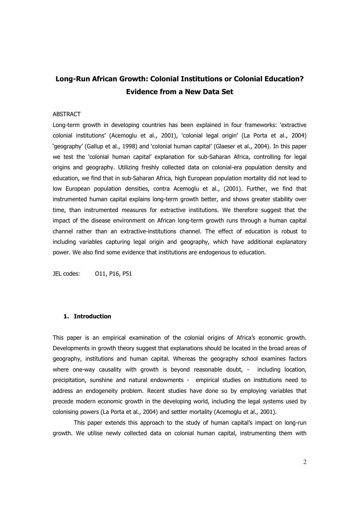## Long-Run African Growth: Colonial Institutions or Colonial Education? **Evidence from a New Data Set**

### **ABSTRACT**

Long-term growth in developing countries has been explained in four frameworks: 'extractive colonial institutions' (Acemoglu et al., 2001), 'colonial legal origin' (La Porta et al., 2004) 'geography' (Gallup et al., 1998) and 'colonial human capital' (Glaeser et al., 2004). In this paper we test the 'colonial human capital' explanation for sub-Saharan Africa, controlling for legal origins and geography. Utilizing freshly collected data on colonial-era population density and education, we find that in sub-Saharan Africa, high European population mortality did not lead to low European population densities, contra Acemoglu et al., (2001). Further, we find that instrumented human capital explains long-term growth better, and shows greater stability over time, than instrumented measures for extractive institutions. We therefore suggest that the impact of the disease environment on African long-term growth runs through a human capital channel rather than an extractive-institutions channel. The effect of education is robust to including variables capturing legal origin and geography, which have additional explanatory power. We also find some evidence that institutions are endogenous to education.

JEL codes: 011, P16, P51

### 1. Introduction

This paper is an empirical examination of the colonial origins of Africa's economic growth. Developments in growth theory suggest that explanations should be located in the broad areas of geography, institutions and human capital. Whereas the geography school examines factors where one-way causality with growth is beyond reasonable doubt, - including location, precipitation, sunshine and natural endowments - empirical studies on institutions need to address an endogeneity problem. Recent studies have done so by employing variables that precede modern economic growth in the developing world, including the legal systems used by colonising powers (La Porta et al., 2004) and settler mortality (Acemoglu et al., 2001).

This paper extends this approach to the study of human capital's impact on long-run growth. We utilise newly collected data on colonial human capital, instrumenting them with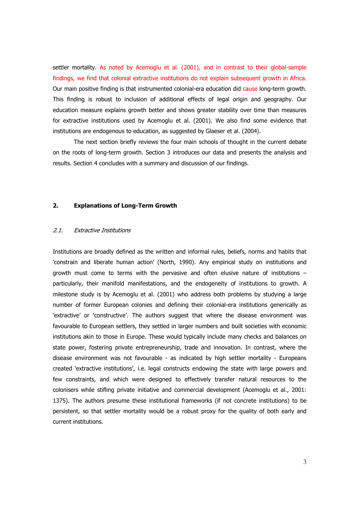settler mortality. As noted by Acemoglu et al. (2001), and in contrast to their global-sample findings, we find that colonial extractive institutions do not explain subsequent growth in Africa. Our main positive finding is that instrumented colonial-era education did cause long-term growth. This finding is robust to inclusion of additional effects of legal origin and geography. Our education measure explains growth better and shows greater stability over time than measures for extractive institutions used by Acemoglu et al. (2001). We also find some evidence that institutions are endogenous to education, as suggested by Glaeser et al. (2004).

The next section briefly reviews the four main schools of thought in the current debate on the roots of long-term growth. Section 3 introduces our data and presents the analysis and results. Section 4 concludes with a summary and discussion of our findings.

#### $2.$ **Explanations of Long-Term Growth**

#### $2.1.$ **Extractive Institutions**

Institutions are broadly defined as the written and informal rules, beliefs, norms and habits that 'constrain and liberate human action' (North, 1990). Any empirical study on institutions and growth must come to terms with the pervasive and often elusive nature of institutions particularly, their manifold manifestations, and the endogeneity of institutions to growth. A milestone study is by Acemoglu et al. (2001) who address both problems by studying a large number of former European colonies and defining their colonial-era institutions generically as 'extractive' or 'constructive'. The authors suggest that where the disease environment was favourable to European settlers, they settled in larger numbers and built societies with economic institutions akin to those in Europe. These would typically include many checks and balances on state power, fostering private entrepreneurship, trade and innovation. In contrast, where the disease environment was not favourable - as indicated by high settler mortality - Europeans created 'extractive institutions', i.e. legal constructs endowing the state with large powers and few constraints, and which were designed to effectively transfer natural resources to the colonisers while stifling private initiative and commercial development (Acemoglu et al., 2001: 1375). The authors presume these institutional frameworks (if not concrete institutions) to be persistent, so that settler mortality would be a robust proxy for the quality of both early and current institutions.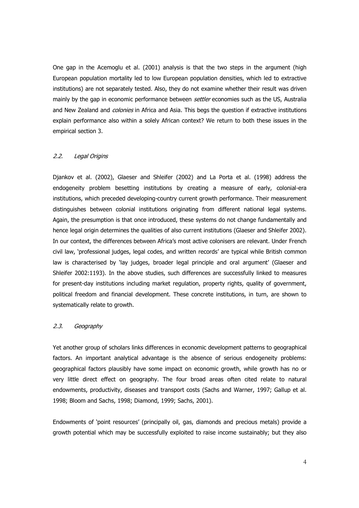One gap in the Acemoglu et al. (2001) analysis is that the two steps in the argument (high European population mortality led to low European population densities, which led to extractive institutions) are not separately tested. Also, they do not examine whether their result was driven mainly by the gap in economic performance between *settler* economies such as the US, Australia and New Zealand and *colonies* in Africa and Asia. This begs the question if extractive institutions explain performance also within a solely African context? We return to both these issues in the empirical section 3.

#### $2.2.$ Legal Origins

Diankov et al. (2002), Glaeser and Shleifer (2002) and La Porta et al. (1998) address the endogeneity problem besetting institutions by creating a measure of early, colonial-era institutions, which preceded developing-country current growth performance. Their measurement distinguishes between colonial institutions originating from different national legal systems. Again, the presumption is that once introduced, these systems do not change fundamentally and hence legal origin determines the qualities of also current institutions (Glaeser and Shleifer 2002). In our context, the differences between Africa's most active colonisers are relevant. Under French civil law, 'professional judges, legal codes, and written records' are typical while British common law is characterised by 'lay judges, broader legal principle and oral argument' (Glaeser and Shleifer 2002:1193). In the above studies, such differences are successfully linked to measures for present-day institutions including market regulation, property rights, quality of government, political freedom and financial development. These concrete institutions, in turn, are shown to systematically relate to growth.

#### $2.3.$ Geography

Yet another group of scholars links differences in economic development patterns to geographical factors. An important analytical advantage is the absence of serious endogeneity problems: geographical factors plausibly have some impact on economic growth, while growth has no or very little direct effect on geography. The four broad areas often cited relate to natural endowments, productivity, diseases and transport costs (Sachs and Warner, 1997; Gallup et al. 1998; Bloom and Sachs, 1998; Diamond, 1999; Sachs, 2001).

Endowments of `point resources' (principally oil, gas, diamonds and precious metals) provide a growth potential which may be successfully exploited to raise income sustainably; but they also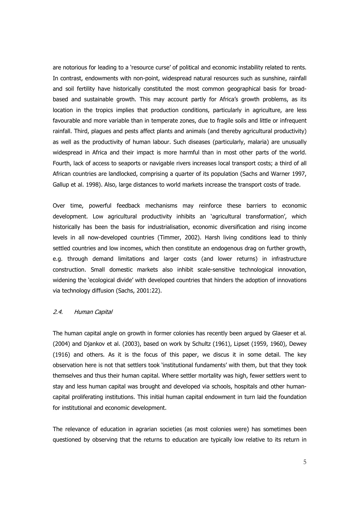are notorious for leading to a 'resource curse' of political and economic instability related to rents. In contrast, endowments with non-point, widespread natural resources such as sunshine, rainfall and soil fertility have historically constituted the most common geographical basis for broadbased and sustainable growth. This may account partly for Africa's growth problems, as its location in the tropics implies that production conditions, particularly in agriculture, are less favourable and more variable than in temperate zones, due to fragile soils and little or infrequent rainfall. Third, plagues and pests affect plants and animals (and thereby agricultural productivity) as well as the productivity of human labour. Such diseases (particularly, malaria) are unusually widespread in Africa and their impact is more harmful than in most other parts of the world. Fourth, lack of access to seaports or navigable rivers increases local transport costs; a third of all African countries are landlocked, comprising a quarter of its population (Sachs and Warner 1997, Gallup et al. 1998). Also, large distances to world markets increase the transport costs of trade.

Over time, powerful feedback mechanisms may reinforce these barriers to economic development. Low agricultural productivity inhibits an 'agricultural transformation', which historically has been the basis for industrialisation, economic diversification and rising income levels in all now-developed countries (Timmer, 2002). Harsh living conditions lead to thinly settled countries and low incomes, which then constitute an endogenous drag on further growth, e.g. through demand limitations and larger costs (and lower returns) in infrastructure construction. Small domestic markets also inhibit scale-sensitive technological innovation, widening the 'ecological divide' with developed countries that hinders the adoption of innovations via technology diffusion (Sachs, 2001:22).

#### $2.4.$ Human Capital

The human capital angle on growth in former colonies has recently been argued by Glaeser et al. (2004) and Djankov et al. (2003), based on work by Schultz (1961), Lipset (1959, 1960), Dewey (1916) and others. As it is the focus of this paper, we discus it in some detail. The key observation here is not that settlers took 'institutional fundaments' with them, but that they took themselves and thus their human capital. Where settler mortality was high, fewer settlers went to stay and less human capital was brought and developed via schools, hospitals and other humancapital proliferating institutions. This initial human capital endowment in turn laid the foundation for institutional and economic development.

The relevance of education in agrarian societies (as most colonies were) has sometimes been questioned by observing that the returns to education are typically low relative to its return in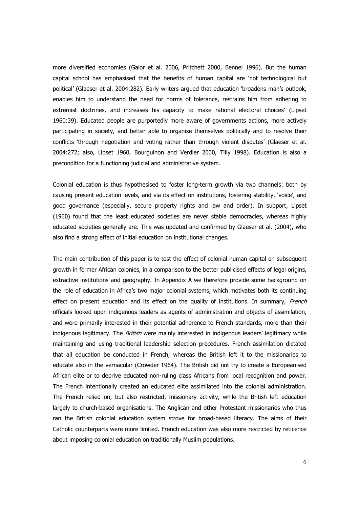more diversified economies (Galor et al. 2006, Pritchett 2000, Bennel 1996). But the human capital school has emphasised that the benefits of human capital are 'not technological but political' (Glaeser et al. 2004:282). Early writers argued that education 'broadens man's outlook, enables him to understand the need for norms of tolerance, restrains him from adhering to extremist doctrines, and increases his capacity to make rational electoral choices' (Lipset 1960:39). Educated people are purportedly more aware of governments actions, more actively participating in society, and better able to organise themselves politically and to resolve their conflicts 'through negotiation and voting rather than through violent disputes' (Glaeser et al. 2004:272; also, Lipset 1960, Bourguinon and Verdier 2000, Tilly 1998). Education is also a precondition for a functioning judicial and administrative system.

Colonial education is thus hypothesised to foster long-term growth via two channels: both by causing present education levels, and via its effect on institutions, fostering stability, 'voice', and good governance (especially, secure property rights and law and order). In support, Lipset (1960) found that the least educated societies are never stable democracies, whereas highly educated societies generally are. This was updated and confirmed by Glaeser et al. (2004), who also find a strong effect of initial education on institutional changes.

The main contribution of this paper is to test the effect of colonial human capital on subsequent growth in former African colonies, in a comparison to the better publicised effects of legal origins, extractive institutions and geography. In Appendix A we therefore provide some background on the role of education in Africa's two major colonial systems, which motivates both its continuing effect on present education and its effect on the quality of institutions. In summary, French officials looked upon indigenous leaders as agents of administration and objects of assimilation, and were primarily interested in their potential adherence to French standards, more than their indigenous legitimacy. The *British* were mainly interested in indigenous leaders' legitimacy while maintaining and using traditional leadership selection procedures. French assimilation dictated that all education be conducted in French, whereas the British left it to the missionaries to educate also in the vernacular (Crowder 1964). The British did not try to create a Europeanised African elite or to deprive educated non-ruling class Africans from local recognition and power. The French intentionally created an educated elite assimilated into the colonial administration. The French relied on, but also restricted, missionary activity, while the British left education largely to church-based organisations. The Anglican and other Protestant missionaries who thus ran the British colonial education system strove for broad-based literacy. The aims of their Catholic counterparts were more limited. French education was also more restricted by reticence about imposing colonial education on traditionally Muslim populations.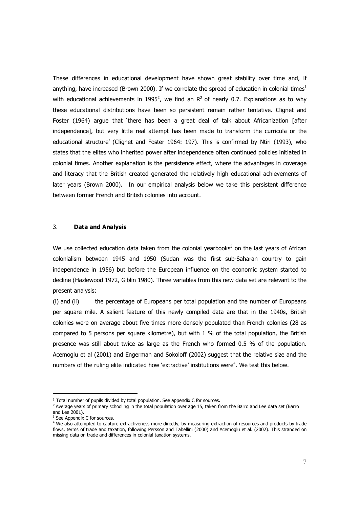These differences in educational development have shown great stability over time and, if anything, have increased (Brown 2000). If we correlate the spread of education in colonial times<sup>1</sup> with educational achievements in 1995<sup>2</sup>, we find an  $R^2$  of nearly 0.7. Explanations as to why these educational distributions have been so persistent remain rather tentative. Clignet and Foster (1964) arque that 'there has been a great deal of talk about Africanization [after independence], but very little real attempt has been made to transform the curricula or the educational structure' (Clignet and Foster 1964: 197). This is confirmed by Ntiri (1993), who states that the elites who inherited power after independence often continued policies initiated in colonial times. Another explanation is the persistence effect, where the advantages in coverage and literacy that the British created generated the relatively high educational achievements of later years (Brown 2000). In our empirical analysis below we take this persistent difference between former French and British colonies into account.

#### $\overline{3}$ . **Data and Analysis**

We use collected education data taken from the colonial vearbooks<sup>3</sup> on the last vears of African colonialism between 1945 and 1950 (Sudan was the first sub-Saharan country to gain independence in 1956) but before the European influence on the economic system started to decline (Hazlewood 1972, Giblin 1980). Three variables from this new data set are relevant to the present analysis:

 $(i)$  and  $(ii)$ the percentage of Europeans per total population and the number of Europeans per square mile. A salient feature of this newly compiled data are that in the 1940s, British colonies were on average about five times more densely populated than French colonies (28 as compared to 5 persons per square kilometre), but with 1 % of the total population, the British presence was still about twice as large as the French who formed 0.5 % of the population. Acemoglu et al (2001) and Engerman and Sokoloff (2002) suggest that the relative size and the numbers of the ruling elite indicated how 'extractive' institutions were<sup>4</sup>. We test this below.

<sup>&</sup>lt;sup>1</sup> Total number of pupils divided by total population. See appendix C for sources.

<sup>&</sup>lt;sup>2</sup> Average years of primary schooling in the total population over age 15, taken from the Barro and Lee data set (Barro and Lee 2001).

<sup>&</sup>lt;sup>3</sup> See Appendix C for sources.

<sup>&</sup>lt;sup>4</sup> We also attempted to capture extractiveness more directly, by measuring extraction of resources and products by trade flows, terms of trade and taxation, following Persson and Tabellini (2000) and Acemoglu et al. (2002). This stranded on missing data on trade and differences in colonial taxation systems.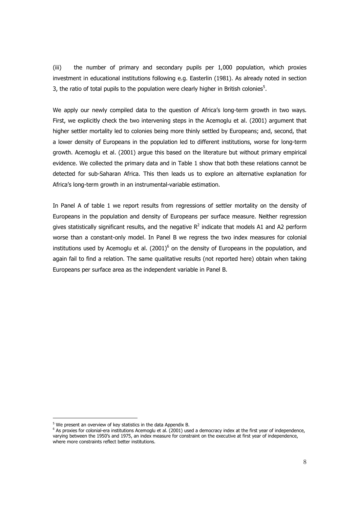$(iii)$ the number of primary and secondary pupils per 1,000 population, which proxies investment in educational institutions following e.g. Easterlin (1981). As already noted in section 3, the ratio of total pupils to the population were clearly higher in British colonies<sup>5</sup>.

We apply our newly compiled data to the question of Africa's long-term growth in two ways. First, we explicitly check the two intervening steps in the Acemoglu et al. (2001) argument that higher settler mortality led to colonies being more thinly settled by Europeans; and, second, that a lower density of Europeans in the population led to different institutions, worse for long-term growth. Acemoglu et al. (2001) argue this based on the literature but without primary empirical evidence. We collected the primary data and in Table 1 show that both these relations cannot be detected for sub-Saharan Africa. This then leads us to explore an alternative explanation for Africa's long-term growth in an instrumental-variable estimation.

In Panel A of table 1 we report results from regressions of settler mortality on the density of Europeans in the population and density of Europeans per surface measure. Neither regression gives statistically significant results, and the negative  $R^2$  indicate that models A1 and A2 perform worse than a constant-only model. In Panel B we regress the two index measures for colonial institutions used by Acemoglu et al.  $(2001)^6$  on the density of Europeans in the population, and again fail to find a relation. The same qualitative results (not reported here) obtain when taking Europeans per surface area as the independent variable in Panel B.

<sup>&</sup>lt;sup>5</sup> We present an overview of key statistics in the data Appendix B.

 $6$  As proxies for colonial-era institutions Acemoglu et al. (2001) used a democracy index at the first year of independence, varying between the 1950's and 1975, an index measure for constraint on the executive at first year of independence, where more constraints reflect better institutions.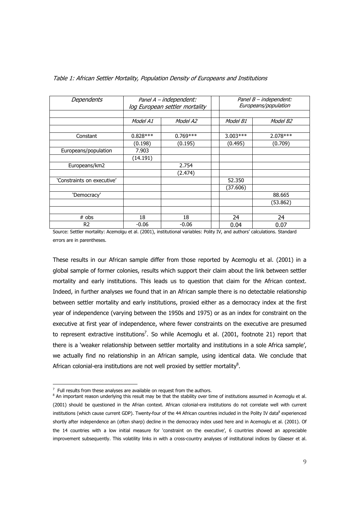| Dependents                 | Panel A - independent:<br>log European settler mortality |            |            | Panel B - independent:<br>Europeans/population |
|----------------------------|----------------------------------------------------------|------------|------------|------------------------------------------------|
|                            |                                                          |            |            |                                                |
|                            | Model A1                                                 | Model A2   | Model B1   | Model B2                                       |
|                            |                                                          |            |            |                                                |
| Constant                   | $0.828***$                                               | $0.769***$ | $3.003***$ | 2.078 ***                                      |
|                            | (0.198)                                                  | (0.195)    | (0.495)    | (0.709)                                        |
| Europeans/population       | 7.903                                                    |            |            |                                                |
|                            | (14.191)                                                 |            |            |                                                |
| Europeans/km2              |                                                          | 2.754      |            |                                                |
|                            |                                                          | (2.474)    |            |                                                |
| 'Constraints on executive' |                                                          |            | 52,350     |                                                |
|                            |                                                          |            | (37.606)   |                                                |
| 'Democracy'                |                                                          |            |            | 88.665                                         |
|                            |                                                          |            |            | (53.862)                                       |
|                            |                                                          |            |            |                                                |
| $#$ obs                    | 18                                                       | 18         | 24         | 24                                             |
| R <sub>2</sub>             | $-0.06$                                                  | $-0.06$    | 0.04       | 0.07                                           |

Table 1: African Settler Mortality, Population Density of Europeans and Institutions

Source: Settler mortality: Acemolgu et al. (2001), institutional variables: Polity IV, and authors' calculations. Standard errors are in parentheses.

These results in our African sample differ from those reported by Acemoglu et al. (2001) in a global sample of former colonies, results which support their claim about the link between settler mortality and early institutions. This leads us to question that claim for the African context. Indeed, in further analyses we found that in an African sample there is no detectable relationship between settler mortality and early institutions, proxied either as a democracy index at the first year of independence (varying between the 1950s and 1975) or as an index for constraint on the executive at first year of independence, where fewer constraints on the executive are presumed to represent extractive institutions<sup>7</sup>. So while Acemoglu et al. (2001, footnote 21) report that there is a 'weaker relationship between settler mortality and institutions in a sole Africa sample', we actually find no relationship in an African sample, using identical data. We conclude that African colonial-era institutions are not well proxied by settler mortality $8$ .

 $7$  Full results from these analyses are available on request from the authors.

<sup>&</sup>lt;sup>8</sup> An important reason underlying this result may be that the stability over time of institutions assumed in Acemoglu et al. (2001) should be questioned in the Afrian context. African colonial-era institutions do not correlate well with current institutions (which cause current GDP). Twenty-four of the 44 African countries included in the Polity IV data<sup>8</sup> experienced shortly after independence an (often sharp) decline in the democracy index used here and in Acemoglu et al. (2001). Of the 14 countries with a low initial measure for 'constraint on the executive', 6 countries showed an appreciable improvement subsequently. This volatility links in with a cross-country analyses of institutional indices by Glaeser et al.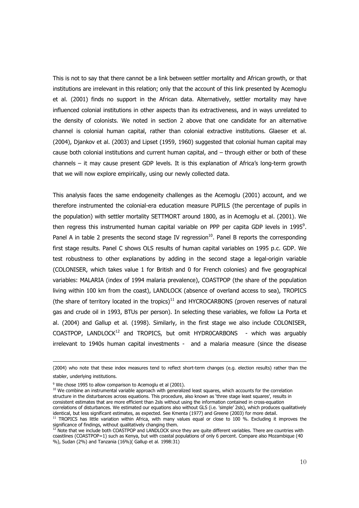This is not to say that there cannot be a link between settler mortality and African growth, or that institutions are irrelevant in this relation; only that the account of this link presented by Acemoglu et al. (2001) finds no support in the African data. Alternatively, settler mortality may have influenced colonial institutions in other aspects than its extractiveness, and in ways unrelated to the density of colonists. We noted in section 2 above that one candidate for an alternative channel is colonial human capital, rather than colonial extractive institutions. Glaeser et al. (2004), Djankov et al. (2003) and Lipset (1959, 1960) suggested that colonial human capital may cause both colonial institutions and current human capital, and - through either or both of these channels - it may cause present GDP levels. It is this explanation of Africa's long-term growth that we will now explore empirically, using our newly collected data.

This analysis faces the same endogeneity challenges as the Acemoglu (2001) account, and we therefore instrumented the colonial-era education measure PUPILS (the percentage of pupils in the population) with settler mortality SETTMORT around 1800, as in Acemoglu et al. (2001). We then regress this instrumented human capital variable on PPP per capita GDP levels in 1995<sup>9</sup>. Panel A in table 2 presents the second stage IV regression<sup>10</sup>. Panel B reports the corresponding first stage results. Panel C shows OLS results of human capital variables on 1995 p.c. GDP. We test robustness to other explanations by adding in the second stage a legal-origin variable (COLONISER, which takes value 1 for British and 0 for French colonies) and five geographical variables: MALARIA (index of 1994 malaria prevalence), COASTPOP (the share of the population living within 100 km from the coast), LANDLOCK (absence of overland access to sea), TROPICS (the share of territory located in the tropics) $11$  and HYCROCARBONS (proven reserves of natural gas and crude oil in 1993, BTUs per person). In selecting these variables, we follow La Porta et al. (2004) and Gallup et al. (1998). Similarly, in the first stage we also include COLONISER, COASTPOP, LANDLOCK<sup>12</sup> and TROPICS, but omit HYDR0CARBONS - which was arguably irrelevant to 1940s human capital investments - and a malaria measure (since the disease

(2004) who note that these index measures tend to reflect short-term changes (e.g. election results) rather than the stabler, underlying institutions.

<sup>&</sup>lt;sup>9</sup> We chose 1995 to allow comparison to Acemoglu et al (2001).

<sup>&</sup>lt;sup>10</sup> We combine an instrumental variable approach with generalized least squares, which accounts for the correlation structure in the disturbances across equations. This procedure, also known as 'three stage least squares', results in consistent estimates that are more efficient than 2sls without using the information contained in cross-equation correlations of disturbances. We estimated our equations also without GLS (i.e. 'simple' 2sls), which produces qualitatively

identical, but less significant estimates, as expected. See Kmenta (1977) and Greene (2003) for more detail. <sup>11</sup> TROPICS has little variation within Africa, with many values equal or close to 100 %. Excluding it improves the

significance of findings, without qualitatively changing them.<br><sup>12</sup> Note that we include both COASTPOP and LANDLOCK since they are quite different variables. There are countries with coastlines (COASTPOP=1) such as Kenya, but with coastal populations of only 6 percent. Compare also Mozambique (40 %), Sudan (2%) and Tanzania (16%)( Gallup et al. 1998:31)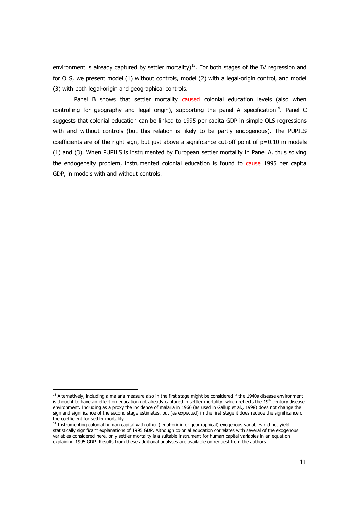environment is already captured by settler mortality)<sup>13</sup>. For both stages of the IV regression and for OLS, we present model (1) without controls, model (2) with a legal-origin control, and model (3) with both legal-origin and geographical controls.

Panel B shows that settler mortality caused colonial education levels (also when controlling for geography and legal origin), supporting the panel A specification $14$ . Panel C suggests that colonial education can be linked to 1995 per capita GDP in simple OLS regressions with and without controls (but this relation is likely to be partly endogenous). The PUPILS coefficients are of the right sign, but just above a significance cut-off point of  $p=0.10$  in models (1) and (3). When PUPILS is instrumented by European settler mortality in Panel A, thus solving the endogeneity problem, instrumented colonial education is found to cause 1995 per capita GDP, in models with and without controls.

<sup>&</sup>lt;sup>13</sup> Alternatively, including a malaria measure also in the first stage might be considered if the 1940s disease environment is thought to have an effect on education not already captured in settler mortality, which reflects the 19<sup>th</sup> century disease environment. Including as a proxy the incidence of malaria in 1966 (as used in Gallup et al., 1998) does not change the sign and significance of the second stage estimates, but (as expected) in the first stage it does reduce the significance of the coefficient for settler mortality.

<sup>&</sup>lt;sup>14</sup> Instrumenting colonial human capital with other (legal-origin or geographical) exogenous variables did not yield statistically significant explanations of 1995 GDP. Although colonial education correlates with several of the exogenous variables considered here, only settler mortality is a suitable instrument for human capital variables in an equation explaining 1995 GDP. Results from these additional analyses are available on request from the authors.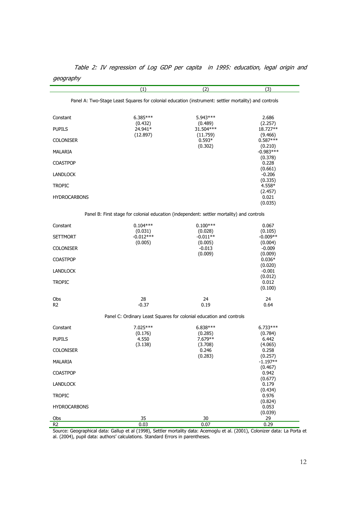|                     | (1)                                                                                                                                 | (2)                   | (3)                   |
|---------------------|-------------------------------------------------------------------------------------------------------------------------------------|-----------------------|-----------------------|
|                     | Panel A: Two-Stage Least Squares for colonial education (instrument: settler mortality) and controls                                |                       |                       |
| Constant            | $6.385***$                                                                                                                          | 5.943 ***             | 2.686                 |
| PUPILS              | (0.432)<br>24.941*                                                                                                                  | (0.489)<br>31.504***  | (2.257)<br>18.727**   |
|                     | (12.897)                                                                                                                            | (11.759)              | (9.466)               |
| <b>COLONISER</b>    |                                                                                                                                     | $0.593*$<br>(0.302)   | $0.587***$<br>(0.210) |
| MALARIA             |                                                                                                                                     |                       | $-0.983***$           |
| <b>COASTPOP</b>     |                                                                                                                                     |                       | (0.378)<br>0.228      |
|                     |                                                                                                                                     |                       | (0.661)               |
| LANDLOCK            |                                                                                                                                     |                       | $-0.206$<br>(0.335)   |
| TROPIC              |                                                                                                                                     |                       | 4.558*                |
| <b>HYDROCARBONS</b> |                                                                                                                                     |                       | (2.457)<br>0.021      |
|                     |                                                                                                                                     |                       | (0.035)               |
|                     | Panel B: First stage for colonial education (independent: settler mortality) and controls                                           |                       |                       |
| Constant            | $0.104***$                                                                                                                          | $0.100***$            | 0.067                 |
| <b>SETTMORT</b>     | (0.031)<br>$-0.012***$                                                                                                              | (0.028)<br>$-0.011**$ | (0.105)<br>$-0.009**$ |
|                     | (0.005)                                                                                                                             | (0.005)               | (0.004)               |
| <b>COLONISER</b>    |                                                                                                                                     | $-0.013$              | $-0.009$              |
| <b>COASTPOP</b>     |                                                                                                                                     | (0.009)               | (0.009)<br>$0.036*$   |
|                     |                                                                                                                                     |                       | (0.020)               |
| LANDLOCK            |                                                                                                                                     |                       | $-0.001$              |
| <b>TROPIC</b>       |                                                                                                                                     |                       | (0.012)<br>0.012      |
|                     |                                                                                                                                     |                       | (0.100)               |
| Obs                 | 28                                                                                                                                  | 24                    | 24                    |
| R <sub>2</sub>      | $-0.37$                                                                                                                             | 0.19                  | 0.64                  |
|                     | Panel C: Ordinary Least Squares for colonial education and controls                                                                 |                       |                       |
| Constant            | 7.025***<br>(0.176)                                                                                                                 | $6.838***$<br>(0.285) | $6.733***$<br>(0.784) |
| <b>PUPILS</b>       | 4.550                                                                                                                               | 7.679 **              | 6.442                 |
|                     | (3.138)                                                                                                                             | (3.708)               | (4.065)               |
| <b>COLONISER</b>    |                                                                                                                                     | 0.246<br>(0.283)      | 0.258<br>(0.257)      |
| MALARIA             |                                                                                                                                     |                       | $-1.197**$            |
| <b>COASTPOP</b>     |                                                                                                                                     |                       | (0.467)<br>0.942      |
| LANDLOCK            |                                                                                                                                     |                       | (0.677)<br>0.179      |
|                     |                                                                                                                                     |                       | (0.434)               |
| <b>TROPIC</b>       |                                                                                                                                     |                       | 0.976<br>(0.824)      |
| <b>HYDROCARBONS</b> |                                                                                                                                     |                       | 0.053                 |
| Obs                 | 35                                                                                                                                  | 30                    | (0.039)<br>29         |
| R <sub>2</sub>      | 0.03<br>Source: Geographical data: Gallup et al (1998), Settler mortality data: Acemoglu et al. (2001), Colonizer data: La Porta et | 0.07                  | 0.29                  |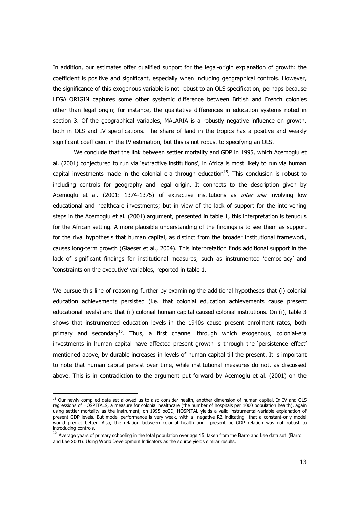In addition, our estimates offer qualified support for the legal-origin explanation of growth: the coefficient is positive and significant, especially when including geographical controls. However, the significance of this exogenous variable is not robust to an OLS specification, perhaps because LEGALORIGIN captures some other systemic difference between British and French colonies other than legal origin; for instance, the qualitative differences in education systems noted in section 3. Of the geographical variables, MALARIA is a robustly negative influence on growth, both in OLS and IV specifications. The share of land in the tropics has a positive and weakly significant coefficient in the IV estimation, but this is not robust to specifying an OLS.

We conclude that the link between settler mortality and GDP in 1995, which Acemoglu et al. (2001) conjectured to run via 'extractive institutions', in Africa is most likely to run via human capital investments made in the colonial era through education<sup>15</sup>. This conclusion is robust to including controls for geography and legal origin. It connects to the description given by Acemoglu et al. (2001: 1374-1375) of extractive institutions as *inter alia* involving low educational and healthcare investments; but in view of the lack of support for the intervening steps in the Acemoglu et al. (2001) argument, presented in table 1, this interpretation is tenuous for the African setting. A more plausible understanding of the findings is to see them as support for the rival hypothesis that human capital, as distinct from the broader institutional framework, causes long-term growth (Glaeser et al., 2004). This interpretation finds additional support in the lack of significant findings for institutional measures, such as instrumented 'democracy' and 'constraints on the executive' variables, reported in table 1.

We pursue this line of reasoning further by examining the additional hypotheses that (i) colonial education achievements persisted (i.e. that colonial education achievements cause present educational levels) and that (ii) colonial human capital caused colonial institutions. On (i), table 3 shows that instrumented education levels in the 1940s cause present enrolment rates, both primary and secondary<sup>16</sup>. Thus, a first channel through which exogenous, colonial-era investments in human capital have affected present growth is through the 'persistence effect' mentioned above, by durable increases in levels of human capital till the present. It is important to note that human capital persist over time, while institutional measures do not, as discussed above. This is in contradiction to the argument put forward by Acemoglu et al. (2001) on the

<sup>&</sup>lt;sup>15</sup> Our newly compiled data set allowed us to also consider health, another dimension of human capital. In IV and OLS regressions of HOSPITALS, a measure for colonial healthcare (the number of hospitals per 1000 population health), again using settler mortality as the instrument, on 1995 pcGD, HOSPITAL yields a valid instrumental-variable explanation of present GDP levels. But model performance is very weak, with a negative R2 indicating that a constant-only model<br>would predict better. Also, the relation between colonial health and present pc GDP relation was not robust t introducing controls.

 $16$  Average years of primary schooling in the total population over age 15, taken from the Barro and Lee data set (Barro and Lee 2001). Using World Development Indicators as the source yields similar results.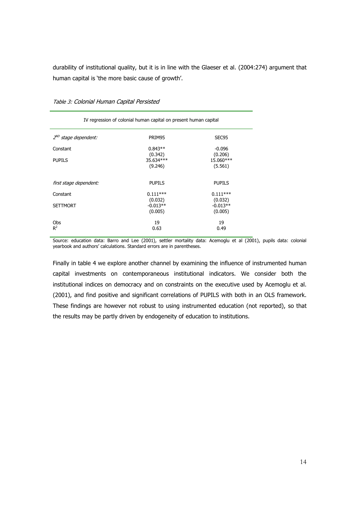durability of institutional quality, but it is in line with the Glaeser et al. (2004:274) argument that human capital is 'the more basic cause of growth'.

| IV regression of colonial human capital on present human capital |                                  |                                  |  |
|------------------------------------------------------------------|----------------------------------|----------------------------------|--|
| 2 <sup>ND</sup> stage dependent:                                 | PRIM95                           | SEC95                            |  |
| Constant                                                         | $0.843**$                        | $-0.096$                         |  |
| <b>PUPILS</b>                                                    | (0.342)<br>35.634***<br>(9.246)  | (0.206)<br>15.060***<br>(5.561)  |  |
| first stage dependent:                                           | <b>PUPILS</b>                    | <b>PUPILS</b>                    |  |
| Constant                                                         | $0.111***$                       | $0.111***$                       |  |
| <b>SETTMORT</b>                                                  | (0.032)<br>$-0.013**$<br>(0.005) | (0.032)<br>$-0.013**$<br>(0.005) |  |
| Obs<br>$R^2$                                                     | 19<br>0.63                       | 19<br>0.49                       |  |

Table 3: Colonial Human Capital Persisted

Source: education data: Barro and Lee (2001), settler mortality data: Acemoglu et al (2001), pupils data: colonial yearbook and authors' calculations. Standard errors are in parentheses.

Finally in table 4 we explore another channel by examining the influence of instrumented human capital investments on contemporaneous institutional indicators. We consider both the institutional indices on democracy and on constraints on the executive used by Acemoglu et al. (2001), and find positive and significant correlations of PUPILS with both in an OLS framework. These findings are however not robust to using instrumented education (not reported), so that the results may be partly driven by endogeneity of education to institutions.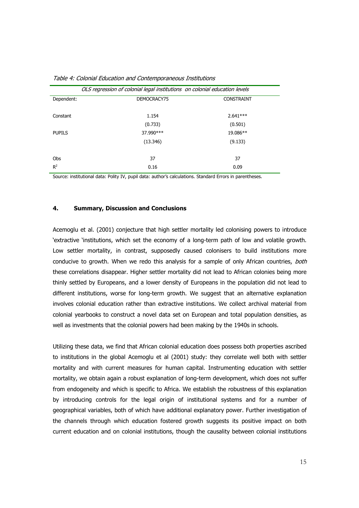|               | OLS regression of colonial legal institutions on colonial education levels |                   |
|---------------|----------------------------------------------------------------------------|-------------------|
| Dependent:    | DEMOCRACY75                                                                | <b>CONSTRAINT</b> |
| Constant      | 1.154                                                                      | $2.641***$        |
|               | (0.733)                                                                    | (0.501)           |
| <b>PUPILS</b> | 37.990 ***                                                                 | 19.086**          |
|               | (13.346)                                                                   | (9.133)           |
| Obs           | 37                                                                         | 37                |
| $R^2$         | 0.16                                                                       | 0.09              |

Table 4: Colonial Fducation and Contemporaneous Institutions

Source: institutional data: Polity IV, pupil data: author's calculations. Standard Errors in parentheses.

#### $4.$ **Summary, Discussion and Conclusions**

Acemoglu et al. (2001) conjecture that high settler mortality led colonising powers to introduce 'extractive 'institutions, which set the economy of a long-term path of low and volatile growth. Low settler mortality, in contrast, supposedly caused colonisers to build institutions more conducive to growth. When we redo this analysis for a sample of only African countries, both these correlations disappear. Higher settler mortality did not lead to African colonies being more thinly settled by Europeans, and a lower density of Europeans in the population did not lead to different institutions, worse for long-term growth. We suggest that an alternative explanation involves colonial education rather than extractive institutions. We collect archival material from colonial yearbooks to construct a novel data set on European and total population densities, as well as investments that the colonial powers had been making by the 1940s in schools.

Utilizing these data, we find that African colonial education does possess both properties ascribed to institutions in the global Acemoglu et al (2001) study: they correlate well both with settler mortality and with current measures for human capital. Instrumenting education with settler mortality, we obtain again a robust explanation of long-term development, which does not suffer from endogeneity and which is specific to Africa. We establish the robustness of this explanation by introducing controls for the legal origin of institutional systems and for a number of geographical variables, both of which have additional explanatory power. Further investigation of the channels through which education fostered growth suggests its positive impact on both current education and on colonial institutions, though the causality between colonial institutions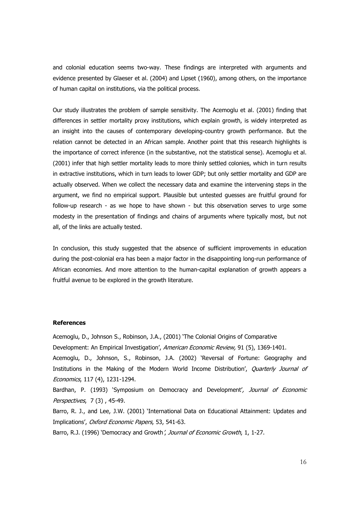and colonial education seems two-way. These findings are interpreted with arguments and evidence presented by Glaeser et al. (2004) and Lipset (1960), among others, on the importance of human capital on institutions, via the political process.

Our study illustrates the problem of sample sensitivity. The Acemoglu et al. (2001) finding that differences in settler mortality proxy institutions, which explain growth, is widely interpreted as an insight into the causes of contemporary developing-country growth performance. But the relation cannot be detected in an African sample. Another point that this research highlights is the importance of correct inference (in the substantive, not the statistical sense). Acemoglu et al. (2001) infer that high settler mortality leads to more thinly settled colonies, which in turn results in extractive institutions, which in turn leads to lower GDP; but only settler mortality and GDP are actually observed. When we collect the necessary data and examine the intervening steps in the argument, we find no empirical support. Plausible but untested quesses are fruitful ground for follow-up research - as we hope to have shown - but this observation serves to urge some modesty in the presentation of findings and chains of arguments where typically most, but not all, of the links are actually tested.

In conclusion, this study suggested that the absence of sufficient improvements in education during the post-colonial era has been a major factor in the disappointing long-run performance of African economies. And more attention to the human-capital explanation of growth appears a fruitful avenue to be explored in the growth literature.

### **References**

Acemoglu, D., Johnson S., Robinson, J.A., (2001) 'The Colonial Origins of Comparative

Development: An Empirical Investigation', American Economic Review, 91 (5), 1369-1401.

Acemoglu, D., Johnson, S., Robinson, J.A. (2002) 'Reversal of Fortune: Geography and Institutions in the Making of the Modern World Income Distribution', Quarterly Journal of Economics, 117 (4), 1231-1294.

Bardhan, P. (1993) 'Symposium on Democracy and Development', Journal of Economic Perspectives, 7(3), 45-49.

Barro, R. J., and Lee, J.W. (2001) 'International Data on Educational Attainment: Updates and Implications', Oxford Economic Papers, 53, 541-63.

Barro, R.J. (1996) 'Democracy and Growth', Journal of Economic Growth, 1, 1-27.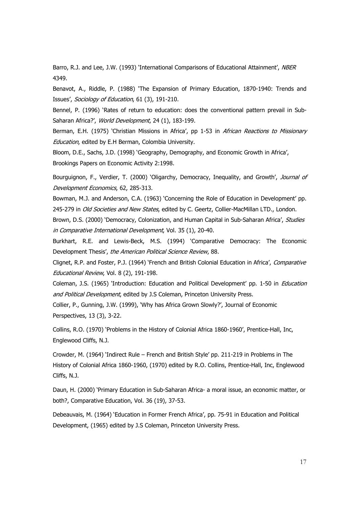Barro, R.J. and Lee, J.W. (1993) 'International Comparisons of Educational Attainment', NBER 4349.

Benavot, A., Riddle, P. (1988) 'The Expansion of Primary Education, 1870-1940: Trends and Issues', Sociology of Education, 61 (3), 191-210.

Bennel, P. (1996) 'Rates of return to education: does the conventional pattern prevail in Sub-Saharan Africa?', World Development, 24 (1), 183-199.

Berman, E.H. (1975) 'Christian Missions in Africa', pp 1-53 in African Reactions to Missionary Education, edited by E.H Berman, Colombia University.

Bloom, D.E., Sachs, J.D. (1998) 'Geography, Demography, and Economic Growth in Africa', Brookings Papers on Economic Activity 2:1998.

Bourguignon, F., Verdier, T. (2000) 'Oligarchy, Democracy, Inequality, and Growth', Journal of Development Economics, 62, 285-313.

Bowman, M.J. and Anderson, C.A. (1963) 'Concerning the Role of Education in Development' pp. 245-279 in Old Societies and New States, edited by C. Geertz, Collier-MacMillan LTD., London.

Brown, D.S. (2000) 'Democracy, Colonization, and Human Capital in Sub-Saharan Africa', Studies in Comparative International Development, Vol. 35 (1), 20-40.

Burkhart, R.E. and Lewis-Beck, M.S. (1994) 'Comparative Democracy: The Economic Development Thesis', the American Political Science Review, 88.

Clignet, R.P. and Foster, P.J. (1964) 'French and British Colonial Education in Africa', Comparative Educational Review, Vol. 8 (2), 191-198.

Coleman, J.S. (1965) 'Introduction: Education and Political Development' pp. 1-50 in *Education* and Political Development, edited by J.S Coleman, Princeton University Press.

Collier, P., Gunning, J.W. (1999), 'Why has Africa Grown Slowly?', Journal of Economic Perspectives, 13 (3), 3-22.

Collins, R.O. (1970) 'Problems in the History of Colonial Africa 1860-1960', Prentice-Hall, Inc. Englewood Cliffs, N.J.

Crowder, M. (1964) 'Indirect Rule – French and British Style' pp. 211-219 in Problems in The History of Colonial Africa 1860-1960, (1970) edited by R.O. Collins, Prentice-Hall, Inc, Englewood Cliffs, N.J.

Daun, H. (2000) 'Primary Education in Sub-Saharan Africa- a moral issue, an economic matter, or both?, Comparative Education, Vol. 36 (19), 37-53.

Debeauvais, M. (1964) 'Education in Former French Africa', pp. 75-91 in Education and Political Development, (1965) edited by J.S Coleman, Princeton University Press.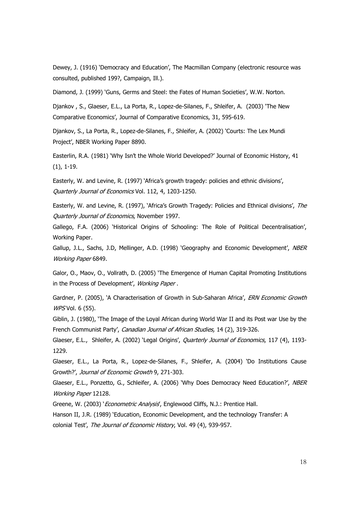Dewey, J. (1916) 'Democracy and Education', The Macmillan Company (electronic resource was consulted, published 199?, Campaign, Ill.).

Diamond, J. (1999) 'Guns, Germs and Steel: the Fates of Human Societies', W.W. Norton.

Djankov, S., Glaeser, E.L., La Porta, R., Lopez-de-Silanes, F., Shleifer, A. (2003) 'The New Comparative Economics', Journal of Comparative Economics, 31, 595-619.

Djankov, S., La Porta, R., Lopez-de-Silanes, F., Shleifer, A. (2002) 'Courts: The Lex Mundi Project', NBER Working Paper 8890.

Easterlin, R.A. (1981) 'Why Isn't the Whole World Developed?' Journal of Economic History, 41  $(1), 1-19.$ 

Easterly, W. and Levine, R. (1997) 'Africa's growth tragedy: policies and ethnic divisions', Ouarterly Journal of Economics Vol. 112, 4, 1203-1250.

Easterly, W. and Levine, R. (1997), 'Africa's Growth Tragedy: Policies and Ethnical divisions', The Ouarterly Journal of Economics, November 1997.

Gallego, F.A. (2006) 'Historical Origins of Schooling: The Role of Political Decentralisation', Working Paper.

Gallup, J.L., Sachs, J.D, Mellinger, A.D. (1998) 'Geography and Economic Development', NBER Working Paper 6849.

Galor, O., Maov, O., Vollrath, D. (2005) 'The Emergence of Human Capital Promoting Institutions in the Process of Development', Working Paper.

Gardner, P. (2005), 'A Characterisation of Growth in Sub-Saharan Africa', ERN Economic Growth WPS Vol. 6 (55).

Giblin, J. (1980), 'The Image of the Loyal African during World War II and its Post war Use by the French Communist Party', Canadian Journal of African Studies, 14 (2), 319-326.

Glaeser, E.L., Shleifer, A. (2002) 'Legal Origins', *Ouarterly Journal of Economics*, 117 (4), 1193-1229.

Glaeser, E.L., La Porta, R., Lopez-de-Silanes, F., Shleifer, A. (2004) 'Do Institutions Cause Growth?', Journal of Economic Growth 9, 271-303.

Glaeser, E.L., Ponzetto, G., Schleifer, A. (2006) 'Why Does Democracy Need Education?', NBER Working Paper 12128.

Greene, W. (2003) '*Econometric Analysis*', Englewood Cliffs, N.J.: Prentice Hall.

Hanson II, J.R. (1989) 'Education, Economic Development, and the technology Transfer: A colonial Test', The Journal of Economic History, Vol. 49 (4), 939-957.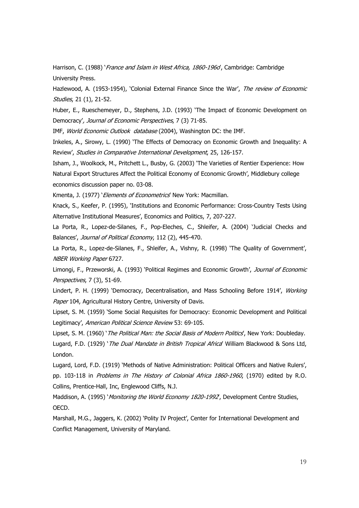Harrison, C. (1988) *France and Islam in West Africa, 1860-1960*, Cambridge: Cambridge University Press.

Hazlewood, A. (1953-1954), 'Colonial External Finance Since the War', The review of Economic *Studies*, 21 (1), 21-52.

Huber, E., Rueschemeyer, D., Stephens, J.D. (1993) 'The Impact of Economic Development on Democracy', Journal of Economic Perspectives, 7 (3) 71-85.

IMF, World Economic Outlook database (2004), Washington DC: the IMF.

Inkeles, A., Sirowy, L. (1990) 'The Effects of Democracy on Economic Growth and Inequality: A Review', Studies in Comparative International Development, 25, 126-157.

Isham, J., Woolkock, M., Pritchett L., Busby, G. (2003) 'The Varieties of Rentier Experience: How Natural Export Structures Affect the Political Economy of Economic Growth', Middlebury college economics discussion paper no. 03-08.

Kmenta, J. (1977) '*Elements of Econometrics*' New York: Macmillan.

Knack, S., Keefer, P. (1995), 'Institutions and Economic Performance: Cross-Country Tests Using Alternative Institutional Measures', Economics and Politics, 7, 207-227.

La Porta, R., Lopez-de-Silanes, F., Pop-Eleches, C., Shleifer, A. (2004) 'Judicial Checks and Balances', Journal of Political Economy, 112 (2), 445-470.

La Porta, R., Lopez-de-Silanes, F., Shleifer, A., Vishny, R. (1998) 'The Quality of Government', NBER Working Paper 6727.

Limongi, F., Przeworski, A. (1993) 'Political Regimes and Economic Growth', Journal of Economic Perspectives, 7 (3), 51-69.

Lindert, P. H. (1999) 'Democracy, Decentralisation, and Mass Schooling Before 1914', Working Paper 104, Agricultural History Centre, University of Davis.

Lipset, S. M. (1959) 'Some Social Requisites for Democracy: Economic Development and Political Legitimacy', American Political Science Review 53: 69-105.

Lipset, S. M. (1960) 'The Political Man: the Social Basis of Modern Politics', New York: Doubleday. Lugard, F.D. (1929) 'The Dual Mandate in British Tropical Africa' William Blackwood & Sons Ltd, London.

Lugard, Lord, F.D. (1919) 'Methods of Native Administration: Political Officers and Native Rulers', pp. 103-118 in Problems in The History of Colonial Africa 1860-1960, (1970) edited by R.O. Collins, Prentice-Hall, Inc, Englewood Cliffs, N.J.

Maddison, A. (1995) *Monitoring the World Economy 1820-1992*, Development Centre Studies, OECD.

Marshall, M.G., Jaggers, K. (2002) 'Polity IV Project', Center for International Development and Conflict Management, University of Maryland.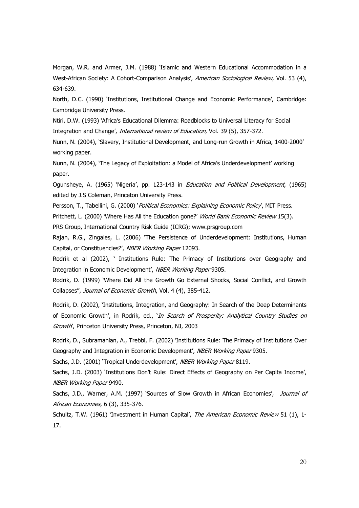Morgan, W.R. and Armer, J.M. (1988) 'Islamic and Western Educational Accommodation in a West-African Society: A Cohort-Comparison Analysis', American Sociological Review, Vol. 53 (4), 634-639.

North, D.C. (1990) 'Institutions, Institutional Change and Economic Performance', Cambridge: Cambridge University Press.

Ntiri, D.W. (1993) 'Africa's Educational Dilemma: Roadblocks to Universal Literacy for Social Integration and Change', International review of Education, Vol. 39 (5), 357-372.

Nunn, N. (2004), 'Slavery, Institutional Development, and Long-run Growth in Africa, 1400-2000' working paper.

Nunn, N. (2004), 'The Legacy of Exploitation: a Model of Africa's Underdevelopment' working paper.

Ogunsheye, A. (1965) 'Nigeria', pp. 123-143 in *Education and Political Development*, (1965) edited by J.S Coleman, Princeton University Press.

Persson, T., Tabellini, G. (2000) 'Political Economics: Explaining Economic Policy', MIT Press.

Pritchett, L. (2000) 'Where Has All the Education gone?' World Bank Economic Review 15(3).

PRS Group, International Country Risk Guide (ICRG); www.prsgroup.com

Rajan, R.G., Zingales, L. (2006) 'The Persistence of Underdevelopment: Institutions, Human Capital, or Constituencies?', NBER Working Paper 12093.

Rodrik et al (2002), ' Institutions Rule: The Primacy of Institutions over Geography and Integration in Economic Development', NBER Working Paper 9305.

Rodrik, D. (1999) 'Where Did All the Growth Go External Shocks, Social Conflict, and Growth Collapses", Journal of Economic Growth, Vol. 4 (4), 385-412.

Rodrik, D. (2002), 'Institutions, Integration, and Geography: In Search of the Deep Determinants of Economic Growth', in Rodrik, ed., 'In Search of Prosperity: Analytical Country Studies on Growth', Princeton University Press, Princeton, NJ, 2003

Rodrik, D., Subramanian, A., Trebbi, F. (2002) 'Institutions Rule: The Primacy of Institutions Over Geography and Integration in Economic Development', NBER Working Paper 9305.

Sachs, J.D. (2001) 'Tropical Underdevelopment', NBER Working Paper 8119.

Sachs, J.D. (2003) 'Institutions Don't Rule: Direct Effects of Geography on Per Capita Income', NBER Working Paper 9490.

Sachs, J.D., Warner, A.M. (1997) 'Sources of Slow Growth in African Economies', Journal of African Economies, 6 (3), 335-376.

Schultz, T.W. (1961) 'Investment in Human Capital', The American Economic Review 51 (1), 1- $17.$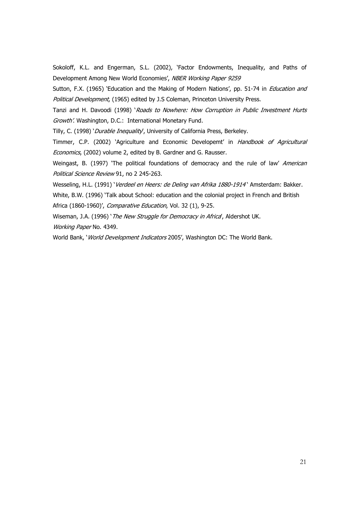Sokoloff, K.L. and Engerman, S.L. (2002), 'Factor Endowments, Inequality, and Paths of Development Among New World Economies', NBER Working Paper 9259

Sutton, F.X. (1965) 'Education and the Making of Modern Nations', pp. 51-74 in *Education and* Political Development, (1965) edited by J.S Coleman, Princeton University Press.

Tanzi and H. Davoodi (1998) 'Roads to Nowhere: How Corruption in Public Investment Hurts Growth'. Washington, D.C.: International Monetary Fund.

Tilly, C. (1998) 'Durable Inequality', University of California Press, Berkeley.

Timmer, C.P. (2002) 'Agriculture and Economic Developemt' in *Handbook of Agricultural* Economics, (2002) volume 2, edited by B. Gardner and G. Rausser.

Weingast, B. (1997) 'The political foundations of democracy and the rule of law' American Political Science Review 91, no 2 245-263.

Wesseling, H.L. (1991) 'Verdeel en Heers: de Deling van Afrika 1880-1914' Amsterdam: Bakker.

White, B.W. (1996) 'Talk about School: education and the colonial project in French and British Africa (1860-1960)', Comparative Education, Vol. 32 (1), 9-25.

Wiseman, J.A. (1996) 'The New Struggle for Democracy in Africa, Aldershot UK. Working Paper No. 4349.

World Bank, 'World Development Indicators 2005', Washington DC: The World Bank.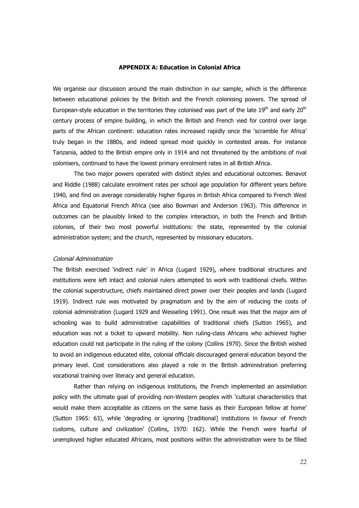### **APPENDIX A: Education in Colonial Africa**

We organise our discussion around the main distinction in our sample, which is the difference between educational policies by the British and the French colonising powers. The spread of European-style education in the territories they colonised was part of the late  $19<sup>th</sup>$  and early  $20<sup>th</sup>$ century process of empire building, in which the British and French vied for control over large parts of the African continent: education rates increased rapidly once the 'scramble for Africa' truly began in the 1880s, and indeed spread most quickly in contested areas. For instance Tanzania, added to the British empire only in 1914 and not threatened by the ambitions of rival colonisers, continued to have the lowest primary enrolment rates in all British Africa.

The two major powers operated with distinct styles and educational outcomes. Benavot and Riddle (1988) calculate enrolment rates per school age population for different years before 1940, and find on average considerably higher figures in British Africa compared to French West Africa and Equatorial French Africa (see also Bowman and Anderson 1963). This difference in outcomes can be plausibly linked to the complex interaction, in both the French and British colonies, of their two most powerful institutions: the state, represented by the colonial administration system; and the church, represented by missionary educators.

### Colonial Administration

The British exercised 'indirect rule' in Africa (Lugard 1929), where traditional structures and institutions were left intact and colonial rulers attempted to work with traditional chiefs. Within the colonial superstructure, chiefs maintained direct power over their peoples and lands (Lugard 1919). Indirect rule was motivated by pragmatism and by the aim of reducing the costs of colonial administration (Lugard 1929 and Wesseling 1991). One result was that the major aim of schooling was to build administrative capabilities of traditional chiefs (Sutton 1965), and education was not a ticket to upward mobility. Non ruling-class Africans who achieved higher education could not participate in the ruling of the colony (Collins 1970). Since the British wished to avoid an indigenous educated elite, colonial officials discouraged general education beyond the primary level. Cost considerations also played a role in the British administration preferring vocational training over literacy and general education.

Rather than relying on indigenous institutions, the French implemented an assimilation policy with the ultimate goal of providing non-Western peoples with 'cultural characteristics that would make them acceptable as citizens on the same basis as their European fellow at home' (Sutton 1965: 63), while 'degrading or ignoring [traditional] institutions in favour of French customs, culture and civilization' (Collins, 1970: 162). While the French were fearful of unemployed higher educated Africans, most positions within the administration were to be filled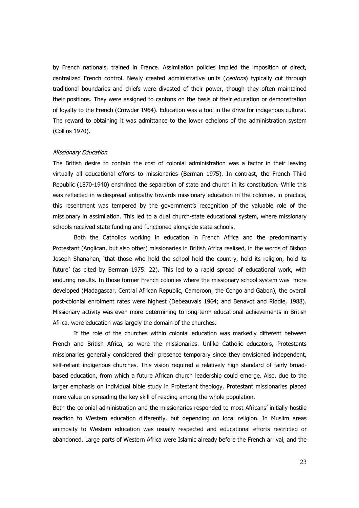by French nationals, trained in France. Assimilation policies implied the imposition of direct, centralized French control. Newly created administrative units (cantons) typically cut through traditional boundaries and chiefs were divested of their power, though they often maintained their positions. They were assigned to cantons on the basis of their education or demonstration of loyalty to the French (Crowder 1964). Education was a tool in the drive for indigenous cultural. The reward to obtaining it was admittance to the lower echelons of the administration system (Collins 1970).

### **Missionary Education**

The British desire to contain the cost of colonial administration was a factor in their leaving virtually all educational efforts to missionaries (Berman 1975). In contrast, the French Third Republic (1870-1940) enshrined the separation of state and church in its constitution. While this was reflected in widespread antipathy towards missionary education in the colonies, in practice, this resentment was tempered by the government's recognition of the valuable role of the missionary in assimilation. This led to a dual church-state educational system, where missionary schools received state funding and functioned alongside state schools.

Both the Catholics working in education in French Africa and the predominantly Protestant (Anglican, but also other) missionaries in British Africa realised, in the words of Bishop Joseph Shanahan, 'that those who hold the school hold the country, hold its religion, hold its future' (as cited by Berman 1975: 22). This led to a rapid spread of educational work, with enduring results. In those former French colonies where the missionary school system was more developed (Madagascar, Central African Republic, Cameroon, the Congo and Gabon), the overall post-colonial enrolment rates were highest (Debeauvais 1964; and Benavot and Riddle, 1988). Missionary activity was even more determining to long-term educational achievements in British Africa, were education was largely the domain of the churches.

If the role of the churches within colonial education was markedly different between French and British Africa, so were the missionaries. Unlike Catholic educators, Protestants missionaries generally considered their presence temporary since they envisioned independent, self-reliant indigenous churches. This vision required a relatively high standard of fairly broadbased education, from which a future African church leadership could emerge. Also, due to the larger emphasis on individual bible study in Protestant theology, Protestant missionaries placed more value on spreading the key skill of reading among the whole population.

Both the colonial administration and the missionaries responded to most Africans' initially hostile reaction to Western education differently, but depending on local religion. In Muslim areas animosity to Western education was usually respected and educational efforts restricted or abandoned. Large parts of Western Africa were Islamic already before the French arrival, and the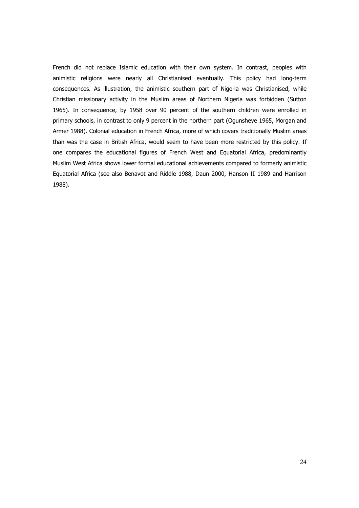French did not replace Islamic education with their own system. In contrast, peoples with animistic religions were nearly all Christianised eventually. This policy had long-term consequences. As illustration, the animistic southern part of Nigeria was Christianised, while Christian missionary activity in the Muslim areas of Northern Nigeria was forbidden (Sutton 1965). In consequence, by 1958 over 90 percent of the southern children were enrolled in primary schools, in contrast to only 9 percent in the northern part (Ogunsheye 1965, Morgan and Armer 1988). Colonial education in French Africa, more of which covers traditionally Muslim areas than was the case in British Africa, would seem to have been more restricted by this policy. If one compares the educational figures of French West and Equatorial Africa, predominantly Muslim West Africa shows lower formal educational achievements compared to formerly animistic Equatorial Africa (see also Benavot and Riddle 1988, Daun 2000, Hanson II 1989 and Harrison 1988).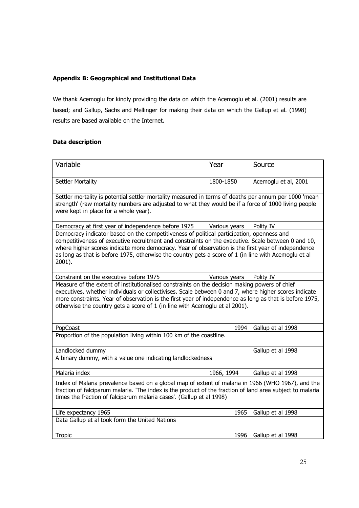### **Appendix B: Geographical and Institutional Data**

We thank Acemoglu for kindly providing the data on which the Acemoglu et al. (2001) results are based; and Gallup, Sachs and Mellinger for making their data on which the Gallup et al. (1998) results are based available on the Internet.

### **Data description**

| Variable                                                                                                                                                                                                                                                                                                                                                                                                                | Year          | Source               |  |  |
|-------------------------------------------------------------------------------------------------------------------------------------------------------------------------------------------------------------------------------------------------------------------------------------------------------------------------------------------------------------------------------------------------------------------------|---------------|----------------------|--|--|
| Settler Mortality                                                                                                                                                                                                                                                                                                                                                                                                       | 1800-1850     | Acemoglu et al, 2001 |  |  |
| Settler mortality is potential settler mortality measured in terms of deaths per annum per 1000 'mean<br>strength' (raw mortality numbers are adjusted to what they would be if a force of 1000 living people<br>were kept in place for a whole year).                                                                                                                                                                  |               |                      |  |  |
| Democracy at first year of independence before 1975                                                                                                                                                                                                                                                                                                                                                                     | Various years | Polity IV            |  |  |
| Democracy indicator based on the competitiveness of political participation, openness and<br>competitiveness of executive recruitment and constraints on the executive. Scale between 0 and 10,<br>where higher scores indicate more democracy. Year of observation is the first year of independence<br>as long as that is before 1975, otherwise the country gets a score of 1 (in line with Acemoglu et al<br>2001). |               |                      |  |  |
| Constraint on the executive before 1975                                                                                                                                                                                                                                                                                                                                                                                 | Various years | Polity IV            |  |  |
| Measure of the extent of institutionalised constraints on the decision making powers of chief<br>executives, whether individuals or collectivises. Scale between 0 and 7, where higher scores indicate<br>more constraints. Year of observation is the first year of independence as long as that is before 1975,<br>otherwise the country gets a score of 1 (in line with Acemoglu et al 2001).                        |               |                      |  |  |
| PopCoast                                                                                                                                                                                                                                                                                                                                                                                                                | 1994          | Gallup et al 1998    |  |  |
| Proportion of the population living within 100 km of the coastline.                                                                                                                                                                                                                                                                                                                                                     |               |                      |  |  |
| Landlocked dummy                                                                                                                                                                                                                                                                                                                                                                                                        |               | Gallup et al 1998    |  |  |
| A binary dummy, with a value one indicating landlockedness                                                                                                                                                                                                                                                                                                                                                              |               |                      |  |  |
| Malaria index                                                                                                                                                                                                                                                                                                                                                                                                           | 1966, 1994    | Gallup et al 1998    |  |  |
| Index of Malaria prevalence based on a global map of extent of malaria in 1966 (WHO 1967), and the<br>fraction of falciparum malaria. 'The index is the product of the fraction of land area subject to malaria<br>times the fraction of falciparum malaria cases'. (Gallup et al 1998)                                                                                                                                 |               |                      |  |  |
| Life expectancy 1965                                                                                                                                                                                                                                                                                                                                                                                                    | 1965          | Gallup et al 1998    |  |  |
| Data Gallup et al took form the United Nations                                                                                                                                                                                                                                                                                                                                                                          |               |                      |  |  |
| <b>Tropic</b>                                                                                                                                                                                                                                                                                                                                                                                                           | 1996          | Gallup et al 1998    |  |  |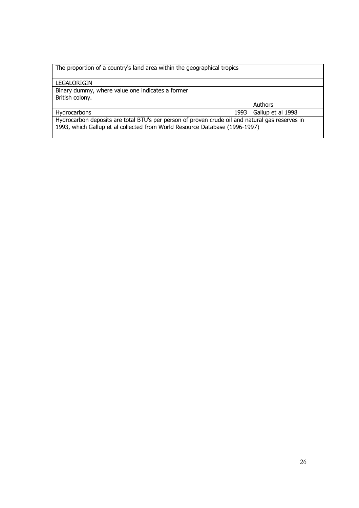| The proportion of a country's land area within the geographical tropics                         |      |                   |
|-------------------------------------------------------------------------------------------------|------|-------------------|
| LEGALORIGIN                                                                                     |      |                   |
| Binary dummy, where value one indicates a former                                                |      |                   |
| British colony.                                                                                 |      |                   |
|                                                                                                 |      | <b>Authors</b>    |
| Hydrocarbons                                                                                    | 1993 | Gallup et al 1998 |
| Hydrocarbon deposits are total BTU's per person of proven crude oil and natural gas reserves in |      |                   |
| 1993, which Gallup et al collected from World Resource Database (1996-1997)                     |      |                   |
|                                                                                                 |      |                   |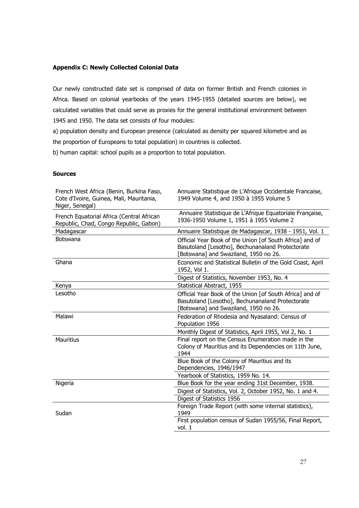### **Appendix C: Newly Collected Colonial Data**

Our newly constructed date set is comprised of data on former British and French colonies in Africa. Based on colonial yearbooks of the years 1945-1955 (detailed sources are below), we calculated variables that could serve as proxies for the general institutional environment between 1945 and 1950. The data set consists of four modules:

a) population density and European presence (calculated as density per squared kilometre and as the proportion of Europeans to total population) in countries is collected.

b) human capital: school pupils as a proportion to total population.

### **Sources**

| French West Africa (Benin, Burkina Faso,<br>Cote d'Ivoire, Guinea, Mali, Mauritania,<br>Niger, Senegal) | Annuaire Statistique de L'Afrique Occidentale Francaise,<br>1949 Volume 4, and 1950 à 1955 Volume 5                                                   |
|---------------------------------------------------------------------------------------------------------|-------------------------------------------------------------------------------------------------------------------------------------------------------|
| French Equatorial Africa (Central African<br>Republic, Chad, Congo Republic, Gabon)                     | Annuaire Statistique de L'Afrique Equatoriale Française,<br>1936-1950 Volume 1, 1951 à 1955 Volume 2                                                  |
| Madagascar                                                                                              | Annuaire Statistique de Madagascar, 1938 - 1951, Vol. 1                                                                                               |
| Botswana                                                                                                | Official Year Book of the Union [of South Africa] and of<br>Basutoland [Lesotho], Bechunanaland Protectorate<br>[Botswana] and Swaziland, 1950 no 26. |
| Ghana                                                                                                   | Economic and Statistical Bulletin of the Gold Coast, April<br>1952, Vol 1.                                                                            |
|                                                                                                         | Digest of Statistics, November 1953, No. 4                                                                                                            |
| Kenya                                                                                                   | Statistical Abstract, 1955                                                                                                                            |
| Lesotho                                                                                                 | Official Year Book of the Union [of South Africa] and of<br>Basutoland [Lesotho], Bechunanaland Protectorate<br>[Botswana] and Swaziland, 1950 no 26. |
| Malawi                                                                                                  | Federation of Rhodesia and Nyasaland: Census of<br>Population 1956                                                                                    |
|                                                                                                         | Monthly Digest of Statistics, April 1955, Vol 2, No. 1                                                                                                |
| <b>Mauritius</b>                                                                                        | Final report on the Census Enumeration made in the<br>Colony of Mauritius and its Dependencies on 11th June,<br>1944                                  |
|                                                                                                         | Blue Book of the Colony of Mauritius and its<br>Dependencies, 1946/1947                                                                               |
|                                                                                                         | Yearbook of Statistics, 1959 No. 14.                                                                                                                  |
| Nigeria                                                                                                 | Blue Book for the year ending 31st December, 1938.                                                                                                    |
|                                                                                                         | Digest of Statistics, Vol. 2, October 1952, No. 1 and 4.                                                                                              |
|                                                                                                         | Digest of Statistics 1956                                                                                                                             |
|                                                                                                         | Foreign Trade Report (with some internal statistics),                                                                                                 |
| Sudan                                                                                                   | 1949                                                                                                                                                  |
|                                                                                                         | First population census of Sudan 1955/56, Final Report,<br>vol. 1                                                                                     |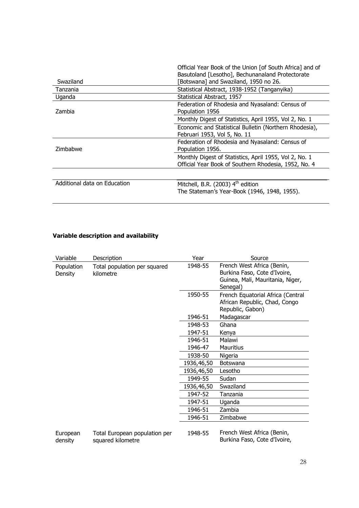|                              | Official Year Book of the Union [of South Africa] and of |
|------------------------------|----------------------------------------------------------|
|                              | Basutoland [Lesotho], Bechunanaland Protectorate         |
| Swaziland                    | [Botswana] and Swaziland, 1950 no 26.                    |
| Tanzania                     | Statistical Abstract, 1938-1952 (Tanganyika)             |
| Uganda                       | Statistical Abstract, 1957                               |
|                              | Federation of Rhodesia and Nyasaland: Census of          |
| Zambia                       | Population 1956                                          |
|                              | Monthly Digest of Statistics, April 1955, Vol 2, No. 1   |
|                              | Economic and Statistical Bulletin (Northern Rhodesia),   |
|                              | Februari 1953, Vol 5, No. 11                             |
|                              | Federation of Rhodesia and Nyasaland: Census of          |
| Zimbabwe                     | Population 1956.                                         |
|                              | Monthly Digest of Statistics, April 1955, Vol 2, No. 1   |
|                              | Official Year Book of Southern Rhodesia, 1952, No. 4     |
|                              |                                                          |
| Additional data on Education | Mitchell, B.R. (2003) $4th$ edition                      |
|                              | The Stateman's Year-Book (1946, 1948, 1955).             |
|                              |                                                          |

### Variable description and availability

| Variable              | Description                                        | Year       | Source                                                                                                     |
|-----------------------|----------------------------------------------------|------------|------------------------------------------------------------------------------------------------------------|
| Population<br>Density | Total population per squared<br>kilometre          | 1948-55    | French West Africa (Benin,<br>Burkina Faso, Cote d'Ivoire,<br>Guinea, Mali, Mauritania, Niger,<br>Senegal) |
|                       |                                                    | 1950-55    | French Equatorial Africa (Central<br>African Republic, Chad, Congo<br>Republic, Gabon)                     |
|                       |                                                    | 1946-51    | Madagascar                                                                                                 |
|                       |                                                    | 1948-53    | Ghana                                                                                                      |
|                       |                                                    | 1947-51    | Kenya                                                                                                      |
|                       |                                                    | 1946-51    | Malawi                                                                                                     |
|                       |                                                    | 1946-47    | <b>Mauritius</b>                                                                                           |
|                       |                                                    | 1938-50    | Nigeria                                                                                                    |
|                       |                                                    | 1936,46,50 | Botswana                                                                                                   |
|                       |                                                    | 1936,46,50 | Lesotho                                                                                                    |
|                       |                                                    | 1949-55    | Sudan                                                                                                      |
|                       |                                                    | 1936,46,50 | Swaziland                                                                                                  |
|                       |                                                    | 1947-52    | Tanzania                                                                                                   |
|                       |                                                    | 1947-51    | Uganda                                                                                                     |
|                       |                                                    | 1946-51    | Zambia                                                                                                     |
|                       |                                                    | 1946-51    | Zimbabwe                                                                                                   |
| European<br>density   | Total European population per<br>squared kilometre | 1948-55    | French West Africa (Benin,<br>Burkina Faso, Cote d'Ivoire,                                                 |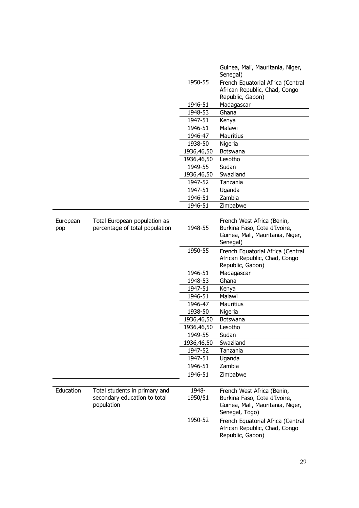|                 |                                                                |            | Guinea, Mali, Mauritania, Niger,<br>Senegal)                                                   |
|-----------------|----------------------------------------------------------------|------------|------------------------------------------------------------------------------------------------|
|                 |                                                                | 1950-55    | French Equatorial Africa (Central<br>African Republic, Chad, Congo<br>Republic, Gabon)         |
|                 |                                                                | 1946-51    | Madagascar                                                                                     |
|                 |                                                                | 1948-53    | Ghana                                                                                          |
|                 |                                                                | 1947-51    | Kenya                                                                                          |
|                 |                                                                | 1946-51    | Malawi                                                                                         |
|                 |                                                                | 1946-47    | <b>Mauritius</b>                                                                               |
|                 |                                                                | 1938-50    | Nigeria                                                                                        |
|                 |                                                                | 1936,46,50 | <b>Botswana</b>                                                                                |
|                 |                                                                | 1936,46,50 | Lesotho                                                                                        |
|                 |                                                                | 1949-55    | Sudan                                                                                          |
|                 |                                                                | 1936,46,50 | Swaziland                                                                                      |
|                 |                                                                | 1947-52    | Tanzania                                                                                       |
|                 |                                                                | 1947-51    | Uganda                                                                                         |
|                 |                                                                | 1946-51    | Zambia                                                                                         |
|                 |                                                                | 1946-51    | Zimbabwe                                                                                       |
|                 |                                                                |            |                                                                                                |
| European<br>pop | Total European population as<br>percentage of total population | 1948-55    | French West Africa (Benin,<br>Burkina Faso, Cote d'Ivoire,<br>Guinea, Mali, Mauritania, Niger, |
|                 |                                                                |            | Senegal)                                                                                       |
|                 |                                                                | 1950-55    | French Equatorial Africa (Central<br>African Republic, Chad, Congo                             |
|                 |                                                                |            | Republic, Gabon)                                                                               |
|                 |                                                                | 1946-51    | Madagascar                                                                                     |
|                 |                                                                | 1948-53    | Ghana                                                                                          |
|                 |                                                                | 1947-51    | Kenya                                                                                          |
|                 |                                                                | 1946-51    | Malawi                                                                                         |
|                 |                                                                | 1946-47    | <b>Mauritius</b>                                                                               |
|                 |                                                                | 1938-50    | Nigeria                                                                                        |
|                 |                                                                | 1936,46,50 | Botswana                                                                                       |
|                 |                                                                | 1936,46,50 | Lesotho                                                                                        |
|                 |                                                                | 1949-55    | Sudan                                                                                          |
|                 |                                                                | 1936,46,50 | Swaziland                                                                                      |
|                 |                                                                | 1947-52    | Tanzania                                                                                       |
|                 |                                                                | 1947-51    | Uganda                                                                                         |
|                 |                                                                | 1946-51    | Zambia                                                                                         |
|                 |                                                                | 1946-51    | Zimbabwe                                                                                       |
|                 |                                                                |            |                                                                                                |
| Education       | Total students in primary and                                  | 1948-      | French West Africa (Benin,                                                                     |
|                 | secondary education to total<br>population                     | 1950/51    | Burkina Faso, Cote d'Ivoire,<br>Guinea, Mali, Mauritania, Niger,<br>Senegal, Togo)             |
|                 |                                                                | 1950-52    | French Equatorial Africa (Central<br>African Republic, Chad, Congo<br>Republic, Gabon)         |